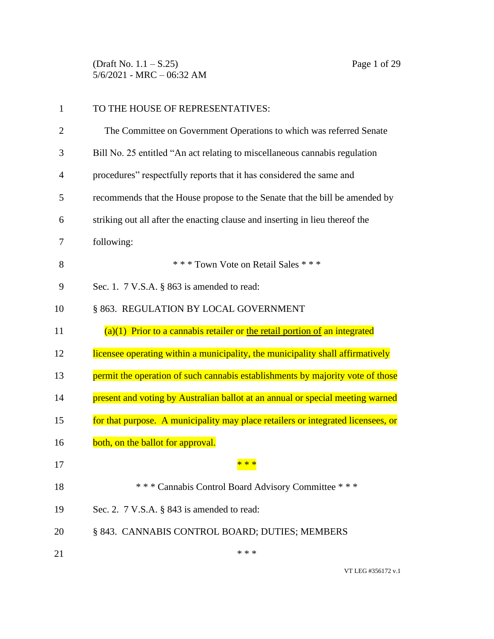(Draft No. 1.1 – S.25) Page 1 of 29 5/6/2021 - MRC – 06:32 AM

| TO THE HOUSE OF REPRESENTATIVES:                                                 |
|----------------------------------------------------------------------------------|
| The Committee on Government Operations to which was referred Senate              |
| Bill No. 25 entitled "An act relating to miscellaneous cannabis regulation       |
| procedures" respectfully reports that it has considered the same and             |
| recommends that the House propose to the Senate that the bill be amended by      |
| striking out all after the enacting clause and inserting in lieu thereof the     |
| following:                                                                       |
| *** Town Vote on Retail Sales ***                                                |
| Sec. 1. $7 \text{ V.S.A. }$ § 863 is amended to read:                            |
| § 863. REGULATION BY LOCAL GOVERNMENT                                            |
| $(a)(1)$ Prior to a cannabis retailer or the retail portion of an integrated     |
| licensee operating within a municipality, the municipality shall affirmatively   |
| permit the operation of such cannabis establishments by majority vote of those   |
| present and voting by Australian ballot at an annual or special meeting warned   |
| for that purpose. A municipality may place retailers or integrated licensees, or |
| both, on the ballot for approval.                                                |
| * * *                                                                            |
| *** Cannabis Control Board Advisory Committee ***                                |
| Sec. 2. $7$ V.S.A. $\S$ 843 is amended to read:                                  |
| § 843. CANNABIS CONTROL BOARD; DUTIES; MEMBERS                                   |
| * * *                                                                            |
|                                                                                  |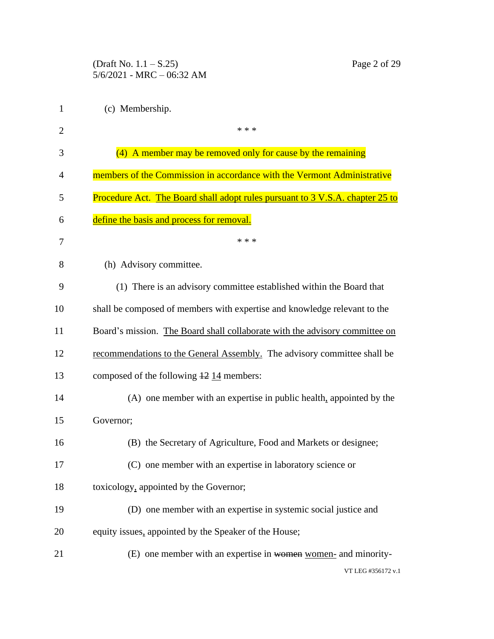(Draft No. 1.1 – S.25) Page 2 of 29 5/6/2021 - MRC – 06:32 AM

| 1              | (c) Membership.                                                               |
|----------------|-------------------------------------------------------------------------------|
| $\overline{c}$ | * * *                                                                         |
| 3              | (4) A member may be removed only for cause by the remaining                   |
| 4              | members of the Commission in accordance with the Vermont Administrative       |
| 5              | Procedure Act. The Board shall adopt rules pursuant to 3 V.S.A. chapter 25 to |
| 6              | define the basis and process for removal.                                     |
| 7              | * * *                                                                         |
| 8              | (h) Advisory committee.                                                       |
| 9              | (1) There is an advisory committee established within the Board that          |
| 10             | shall be composed of members with expertise and knowledge relevant to the     |
| 11             | Board's mission. The Board shall collaborate with the advisory committee on   |
| 12             | recommendations to the General Assembly. The advisory committee shall be      |
| 13             | composed of the following $\frac{12}{14}$ members:                            |
| 14             | (A) one member with an expertise in public health, appointed by the           |
| 15             | Governor;                                                                     |
| 16             | (B) the Secretary of Agriculture, Food and Markets or designee;               |
| 17             | (C) one member with an expertise in laboratory science or                     |
| 18             | toxicology, appointed by the Governor;                                        |
| 19             | (D) one member with an expertise in systemic social justice and               |
| 20             | equity issues, appointed by the Speaker of the House;                         |
| 21             | (E) one member with an expertise in women women- and minority-                |
|                | VT LEG #356172 v.1                                                            |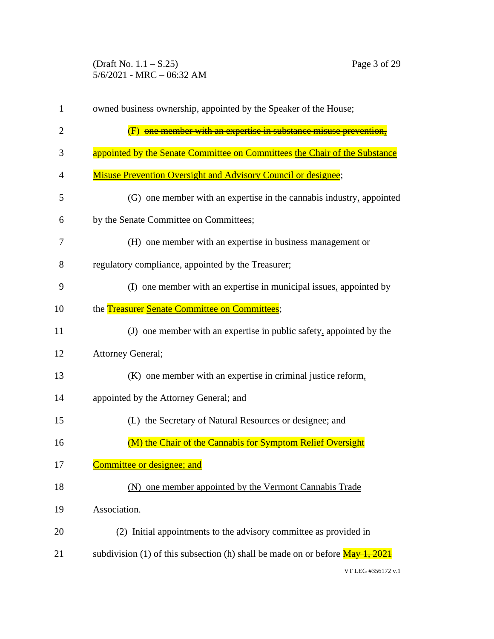(Draft No. 1.1 – S.25) Page 3 of 29 5/6/2021 - MRC – 06:32 AM

| $\mathbf{1}$ | owned business ownership, appointed by the Speaker of the House;                                                    |
|--------------|---------------------------------------------------------------------------------------------------------------------|
| 2            | (F) one member with an expertise in substance misuse prevention,                                                    |
| 3            | appointed by the Senate Committee on Committees the Chair of the Substance                                          |
| 4            | <b>Misuse Prevention Oversight and Advisory Council or designee;</b>                                                |
| 5            | (G) one member with an expertise in the cannabis industry, appointed                                                |
| 6            | by the Senate Committee on Committees;                                                                              |
| 7            | (H) one member with an expertise in business management or                                                          |
| 8            | regulatory compliance, appointed by the Treasurer;                                                                  |
| 9            | (I) one member with an expertise in municipal issues, appointed by                                                  |
| 10           | the <b>Treasurer Senate Committee on Committees</b> ;                                                               |
| 11           | (J) one member with an expertise in public safety, appointed by the                                                 |
| 12           | <b>Attorney General;</b>                                                                                            |
| 13           | (K) one member with an expertise in criminal justice reform,                                                        |
| 14           | appointed by the Attorney General; and                                                                              |
| 15           | (L) the Secretary of Natural Resources or designee; and                                                             |
| 16           | (M) the Chair of the Cannabis for Symptom Relief Oversight                                                          |
| 17           | Committee or designee; and                                                                                          |
| 18           | (N) one member appointed by the Vermont Cannabis Trade                                                              |
| 19           | Association.                                                                                                        |
| 20           | (2) Initial appointments to the advisory committee as provided in                                                   |
| 21           | subdivision (1) of this subsection (h) shall be made on or before $\frac{\text{May } 1, 2021}{\text{May } 1, 2021}$ |
|              | VT LEG #356172 v.1                                                                                                  |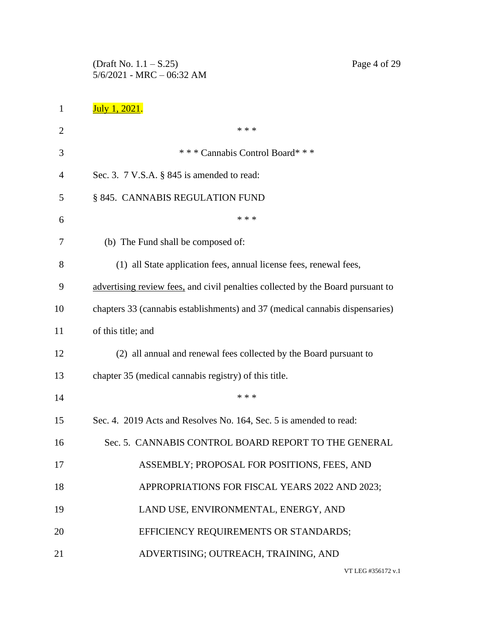(Draft No. 1.1 – S.25) Page 4 of 29 5/6/2021 - MRC – 06:32 AM

| 1              | July 1, 2021.                                                                   |
|----------------|---------------------------------------------------------------------------------|
| $\overline{2}$ | * * *                                                                           |
| 3              | *** Cannabis Control Board***                                                   |
| 4              | Sec. 3. $7$ V.S.A. $\S$ 845 is amended to read:                                 |
| 5              | § 845. CANNABIS REGULATION FUND                                                 |
| 6              | * * *                                                                           |
| 7              | (b) The Fund shall be composed of:                                              |
| 8              | (1) all State application fees, annual license fees, renewal fees,              |
| 9              | advertising review fees, and civil penalties collected by the Board pursuant to |
| 10             | chapters 33 (cannabis establishments) and 37 (medical cannabis dispensaries)    |
| 11             | of this title; and                                                              |
| 12             | (2) all annual and renewal fees collected by the Board pursuant to              |
| 13             | chapter 35 (medical cannabis registry) of this title.                           |
| 14             | * * *                                                                           |
| 15             | Sec. 4. 2019 Acts and Resolves No. 164, Sec. 5 is amended to read:              |
| 16             | Sec. 5. CANNABIS CONTROL BOARD REPORT TO THE GENERAL                            |
| 17             | ASSEMBLY; PROPOSAL FOR POSITIONS, FEES, AND                                     |
| 18             | APPROPRIATIONS FOR FISCAL YEARS 2022 AND 2023;                                  |
| 19             | LAND USE, ENVIRONMENTAL, ENERGY, AND                                            |
| 20             | EFFICIENCY REQUIREMENTS OR STANDARDS;                                           |
| 21             | ADVERTISING; OUTREACH, TRAINING, AND                                            |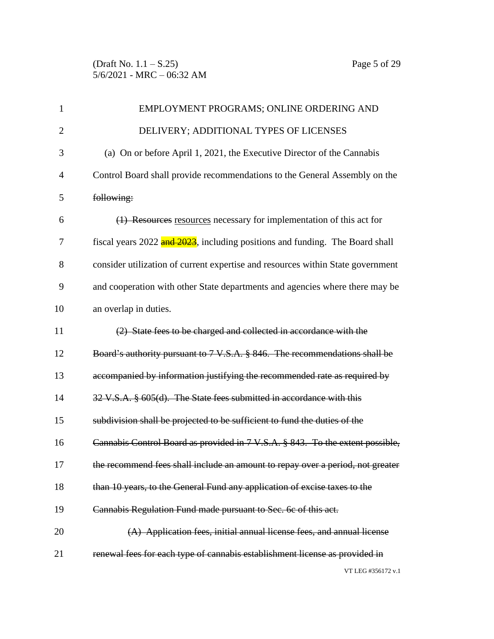| $\mathbf{1}$   | EMPLOYMENT PROGRAMS; ONLINE ORDERING AND                                        |
|----------------|---------------------------------------------------------------------------------|
| $\overline{2}$ | DELIVERY; ADDITIONAL TYPES OF LICENSES                                          |
| 3              | (a) On or before April 1, 2021, the Executive Director of the Cannabis          |
| $\overline{4}$ | Control Board shall provide recommendations to the General Assembly on the      |
| 5              | following:                                                                      |
| 6              | (1) Resources resources necessary for implementation of this act for            |
| 7              | fiscal years 2022 and 2023, including positions and funding. The Board shall    |
| 8              | consider utilization of current expertise and resources within State government |
| 9              | and cooperation with other State departments and agencies where there may be    |
| 10             | an overlap in duties.                                                           |
| 11             | (2) State fees to be charged and collected in accordance with the               |
| 12             | Board's authority pursuant to 7 V.S.A. § 846. The recommendations shall be      |
| 13             | accompanied by information justifying the recommended rate as required by       |
| 14             | 32 V.S.A. § 605(d). The State fees submitted in accordance with this            |
| 15             | subdivision shall be projected to be sufficient to fund the duties of the       |
| 16             | Cannabis Control Board as provided in 7 V.S.A. § 843. To the extent possible,   |
| 17             | the recommend fees shall include an amount to repay over a period, not greater  |
| 18             | than 10 years, to the General Fund any application of excise taxes to the       |
| 19             | Cannabis Regulation Fund made pursuant to Sec. 6c of this act.                  |
| 20             | (A) Application fees, initial annual license fees, and annual license           |
| 21             | renewal fees for each type of cannabis establishment license as provided in     |
|                | VT LEG #356172 v.1                                                              |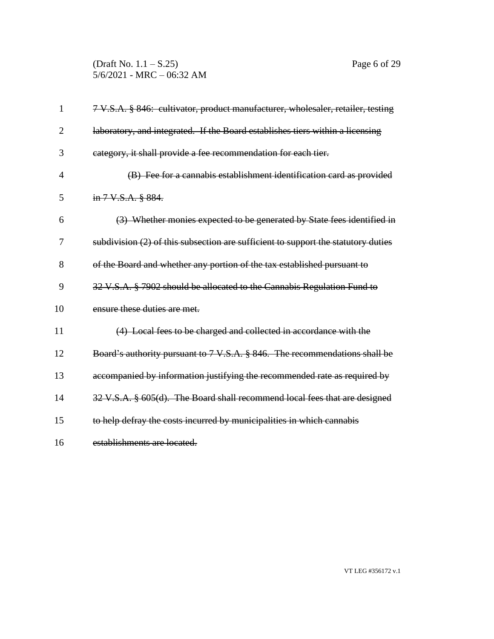(Draft No. 1.1 – S.25) Page 6 of 29 5/6/2021 - MRC – 06:32 AM

| 1              | 7 V.S.A. § 846: cultivator, product manufacturer, wholesaler, retailer, testing   |
|----------------|-----------------------------------------------------------------------------------|
| $\overline{2}$ | laboratory, and integrated. If the Board establishes tiers within a licensing     |
| 3              | category, it shall provide a fee recommendation for each tier.                    |
| 4              | (B) Fee for a cannabis establishment identification card as provided              |
| 5              | in 7 V.S.A. § 884.                                                                |
| 6              | (3) Whether monies expected to be generated by State fees identified in           |
| 7              | subdivision (2) of this subsection are sufficient to support the statutory duties |
| 8              | of the Board and whether any portion of the tax established pursuant to           |
| 9              | 32 V.S.A. § 7902 should be allocated to the Cannabis Regulation Fund to           |
| 10             | ensure these duties are met.                                                      |
| 11             | (4) Local fees to be charged and collected in accordance with the                 |
| 12             | Board's authority pursuant to 7 V.S.A. § 846. The recommendations shall be        |
| 13             | accompanied by information justifying the recommended rate as required by         |
| 14             | 32 V.S.A. § 605(d). The Board shall recommend local fees that are designed        |
| 15             | to help defray the costs incurred by municipalities in which cannabis             |
| 16             | establishments are located.                                                       |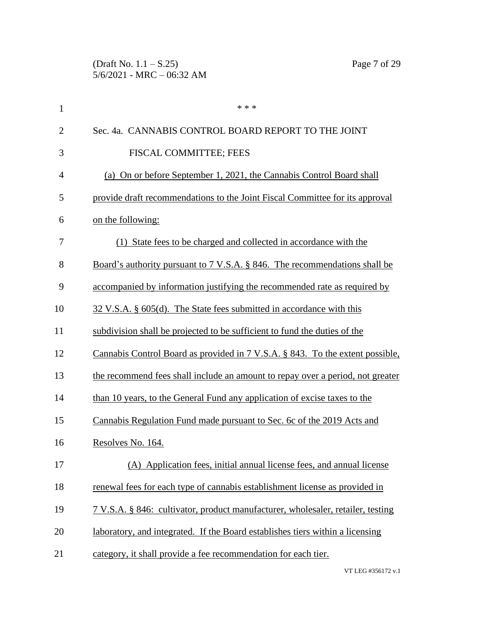(Draft No. 1.1 – S.25) Page 7 of 29 5/6/2021 - MRC – 06:32 AM

| $\mathbf{1}$   | * * *                                                                           |
|----------------|---------------------------------------------------------------------------------|
| $\overline{2}$ | Sec. 4a. CANNABIS CONTROL BOARD REPORT TO THE JOINT                             |
| 3              | FISCAL COMMITTEE; FEES                                                          |
| 4              | (a) On or before September 1, 2021, the Cannabis Control Board shall            |
| 5              | provide draft recommendations to the Joint Fiscal Committee for its approval    |
| 6              | on the following:                                                               |
| 7              | (1) State fees to be charged and collected in accordance with the               |
| 8              | Board's authority pursuant to 7 V.S.A. § 846. The recommendations shall be      |
| 9              | accompanied by information justifying the recommended rate as required by       |
| 10             | 32 V.S.A. § 605(d). The State fees submitted in accordance with this            |
| 11             | subdivision shall be projected to be sufficient to fund the duties of the       |
| 12             | Cannabis Control Board as provided in 7 V.S.A. § 843. To the extent possible,   |
| 13             | the recommend fees shall include an amount to repay over a period, not greater  |
| 14             | than 10 years, to the General Fund any application of excise taxes to the       |
| 15             | Cannabis Regulation Fund made pursuant to Sec. 6c of the 2019 Acts and          |
| 16             | Resolves No. 164.                                                               |
| 17             | (A) Application fees, initial annual license fees, and annual license           |
| 18             | renewal fees for each type of cannabis establishment license as provided in     |
| 19             | 7 V.S.A. § 846: cultivator, product manufacturer, wholesaler, retailer, testing |
| 20             | laboratory, and integrated. If the Board establishes tiers within a licensing   |
| 21             | category, it shall provide a fee recommendation for each tier.                  |
|                |                                                                                 |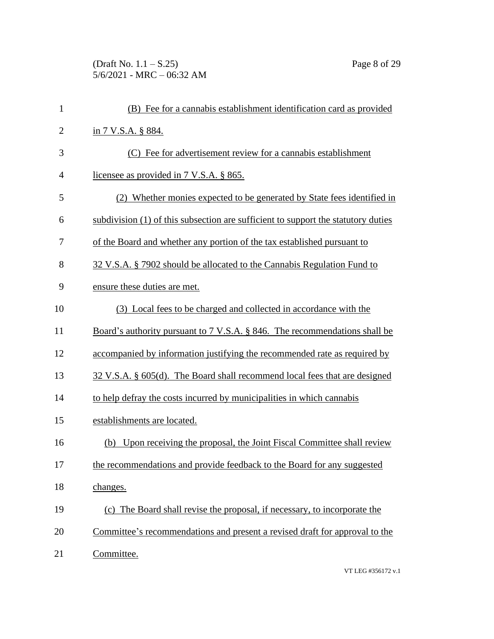(Draft No. 1.1 – S.25) Page 8 of 29 5/6/2021 - MRC – 06:32 AM

| $\mathbf{1}$   | (B) Fee for a cannabis establishment identification card as provided              |
|----------------|-----------------------------------------------------------------------------------|
| $\mathbf{2}$   | in 7 V.S.A. § 884.                                                                |
| 3              | (C) Fee for advertisement review for a cannabis establishment                     |
| $\overline{4}$ | licensee as provided in 7 V.S.A. § 865.                                           |
| 5              | (2) Whether monies expected to be generated by State fees identified in           |
| 6              | subdivision (1) of this subsection are sufficient to support the statutory duties |
| 7              | of the Board and whether any portion of the tax established pursuant to           |
| 8              | 32 V.S.A. § 7902 should be allocated to the Cannabis Regulation Fund to           |
| 9              | ensure these duties are met.                                                      |
| 10             | (3) Local fees to be charged and collected in accordance with the                 |
| 11             | Board's authority pursuant to 7 V.S.A. § 846. The recommendations shall be        |
| 12             | accompanied by information justifying the recommended rate as required by         |
| 13             | 32 V.S.A. § 605(d). The Board shall recommend local fees that are designed        |
| 14             | to help defray the costs incurred by municipalities in which cannabis             |
| 15             | establishments are located.                                                       |
| 16             | Upon receiving the proposal, the Joint Fiscal Committee shall review<br>(b)       |
| 17             | the recommendations and provide feedback to the Board for any suggested           |
| 18             | changes.                                                                          |
| 19             | (c) The Board shall revise the proposal, if necessary, to incorporate the         |
| 20             | Committee's recommendations and present a revised draft for approval to the       |
| 21             | Committee.                                                                        |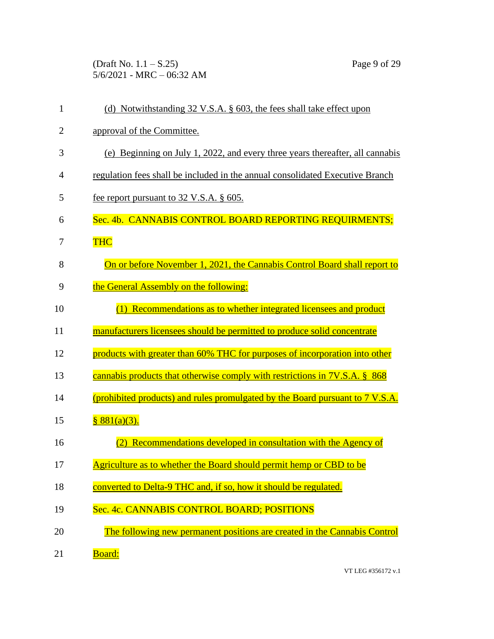(Draft No. 1.1 – S.25) Page 9 of 29 5/6/2021 - MRC – 06:32 AM

| $\mathbf{1}$   | (d) Notwithstanding 32 V.S.A. § 603, the fees shall take effect upon          |
|----------------|-------------------------------------------------------------------------------|
| $\overline{2}$ | approval of the Committee.                                                    |
| 3              | (e) Beginning on July 1, 2022, and every three years thereafter, all cannabis |
| 4              | regulation fees shall be included in the annual consolidated Executive Branch |
| 5              | fee report pursuant to 32 V.S.A. § 605.                                       |
| 6              | Sec. 4b. CANNABIS CONTROL BOARD REPORTING REQUIRMENTS;                        |
| 7              | <b>THC</b>                                                                    |
| 8              | On or before November 1, 2021, the Cannabis Control Board shall report to     |
| 9              | the General Assembly on the following:                                        |
| 10             | Recommendations as to whether integrated licensees and product                |
| 11             | manufacturers licensees should be permitted to produce solid concentrate      |
| 12             | products with greater than 60% THC for purposes of incorporation into other   |
| 13             | cannabis products that otherwise comply with restrictions in 7V.S.A. § 868    |
| 14             | (prohibited products) and rules promulgated by the Board pursuant to 7 V.S.A. |
| 15             | $881(a)(3)$ .                                                                 |
| 16             | Recommendations developed in consultation with the Agency of                  |
| 17             | Agriculture as to whether the Board should permit hemp or CBD to be           |
| 18             | converted to Delta-9 THC and, if so, how it should be regulated.              |
| 19             | Sec. 4c. CANNABIS CONTROL BOARD; POSITIONS                                    |
| 20             | The following new permanent positions are created in the Cannabis Control     |
| 21             | <b>Board:</b>                                                                 |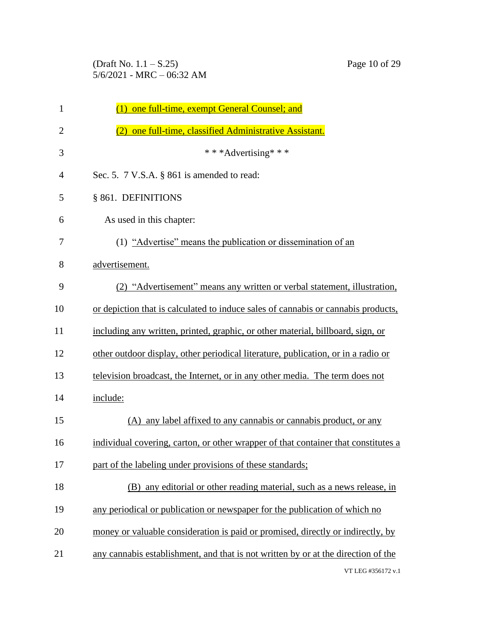(Draft No. 1.1 – S.25) Page 10 of 29 5/6/2021 - MRC – 06:32 AM

| $\mathbf{1}$   | one full-time, exempt General Counsel; and<br>(1)                                  |
|----------------|------------------------------------------------------------------------------------|
| $\overline{2}$ | one full-time, classified Administrative Assistant.                                |
| 3              | ***Advertising***                                                                  |
| $\overline{4}$ | Sec. 5. 7 V.S.A. § 861 is amended to read:                                         |
| 5              | § 861. DEFINITIONS                                                                 |
| 6              | As used in this chapter:                                                           |
| 7              | (1) "Advertise" means the publication or dissemination of an                       |
| 8              | advertisement.                                                                     |
| 9              | (2) "Advertisement" means any written or verbal statement, illustration,           |
| 10             | or depiction that is calculated to induce sales of cannabis or cannabis products,  |
| 11             | including any written, printed, graphic, or other material, billboard, sign, or    |
| 12             | other outdoor display, other periodical literature, publication, or in a radio or  |
| 13             | television broadcast, the Internet, or in any other media. The term does not       |
| 14             | include:                                                                           |
| 15             | (A) any label affixed to any cannabis or cannabis product, or any                  |
| 16             | individual covering, carton, or other wrapper of that container that constitutes a |
| 17             | part of the labeling under provisions of these standards;                          |
| 18             | (B) any editorial or other reading material, such as a news release, in            |
| 19             | any periodical or publication or newspaper for the publication of which no         |
| 20             | money or valuable consideration is paid or promised, directly or indirectly, by    |
| 21             | any cannabis establishment, and that is not written by or at the direction of the  |
|                | VT LEG #356172 v.1                                                                 |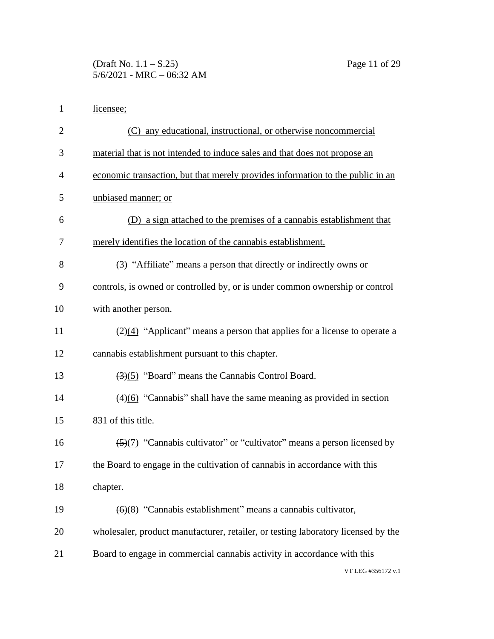(Draft No. 1.1 – S.25) Page 11 of 29 5/6/2021 - MRC – 06:32 AM

|  | licensee: |
|--|-----------|
|--|-----------|

| $\overline{2}$ | (C) any educational, instructional, or otherwise noncommercial                           |
|----------------|------------------------------------------------------------------------------------------|
| 3              | material that is not intended to induce sales and that does not propose an               |
| $\overline{4}$ | economic transaction, but that merely provides information to the public in an           |
| 5              | unbiased manner; or                                                                      |
| 6              | (D) a sign attached to the premises of a cannabis establishment that                     |
| 7              | merely identifies the location of the cannabis establishment.                            |
| 8              | (3) "Affiliate" means a person that directly or indirectly owns or                       |
| 9              | controls, is owned or controlled by, or is under common ownership or control             |
| 10             | with another person.                                                                     |
| 11             | $\frac{2(4)}{2}$ "Applicant" means a person that applies for a license to operate a      |
| 12             | cannabis establishment pursuant to this chapter.                                         |
| 13             | $\left(\frac{3}{5}\right)$ "Board" means the Cannabis Control Board.                     |
| 14             | $\left(\frac{4}{6}\right)$ "Cannabis" shall have the same meaning as provided in section |
| 15             | 831 of this title.                                                                       |
| 16             | $\frac{5}{(2)}$ "Cannabis cultivator" or "cultivator" means a person licensed by         |
| 17             | the Board to engage in the cultivation of cannabis in accordance with this               |
| 18             | chapter.                                                                                 |
| 19             | $\left(\frac{6}{8}\right)$ "Cannabis establishment" means a cannabis cultivator,         |
| 20             | wholesaler, product manufacturer, retailer, or testing laboratory licensed by the        |
| 21             | Board to engage in commercial cannabis activity in accordance with this                  |
|                | VT LEG #356172 v.1                                                                       |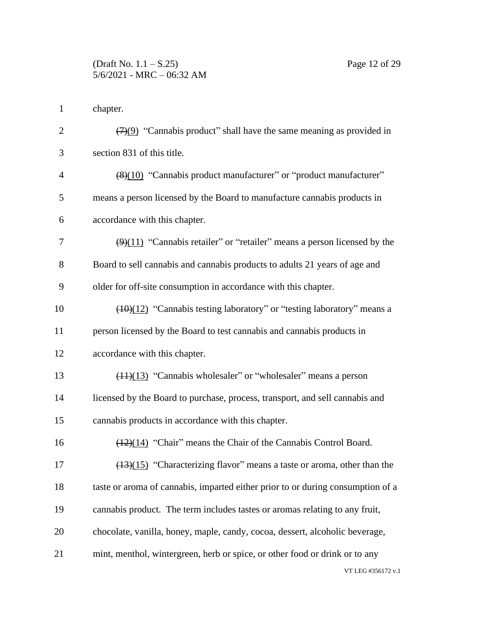chapter.

| $\overline{2}$ | $\left(\frac{7}{9}\right)$ "Cannabis product" shall have the same meaning as provided in     |
|----------------|----------------------------------------------------------------------------------------------|
| 3              | section 831 of this title.                                                                   |
| $\overline{4}$ | (8)(10) "Cannabis product manufacturer" or "product manufacturer"                            |
| 5              | means a person licensed by the Board to manufacture cannabis products in                     |
| 6              | accordance with this chapter.                                                                |
| 7              | $\left(\frac{9}{11}\right)$ "Cannabis retailer" or "retailer" means a person licensed by the |
| 8              | Board to sell cannabis and cannabis products to adults 21 years of age and                   |
| 9              | older for off-site consumption in accordance with this chapter.                              |
| 10             | $\frac{(10)(12)}{2}$ "Cannabis testing laboratory" or "testing laboratory" means a           |
| 11             | person licensed by the Board to test cannabis and cannabis products in                       |
| 12             | accordance with this chapter.                                                                |
| 13             | $(11)(13)$ "Cannabis wholesaler" or "wholesaler" means a person                              |
| 14             | licensed by the Board to purchase, process, transport, and sell cannabis and                 |
| 15             | cannabis products in accordance with this chapter.                                           |
| 16             | (12)(14) "Chair" means the Chair of the Cannabis Control Board.                              |
| 17             | $\frac{(13)(15)}{2}$ "Characterizing flavor" means a taste or aroma, other than the          |
| 18             | taste or aroma of cannabis, imparted either prior to or during consumption of a              |
| 19             | cannabis product. The term includes tastes or aromas relating to any fruit,                  |
| 20             | chocolate, vanilla, honey, maple, candy, cocoa, dessert, alcoholic beverage,                 |
| 21             | mint, menthol, wintergreen, herb or spice, or other food or drink or to any                  |
|                | VT LEG #356172 v.1                                                                           |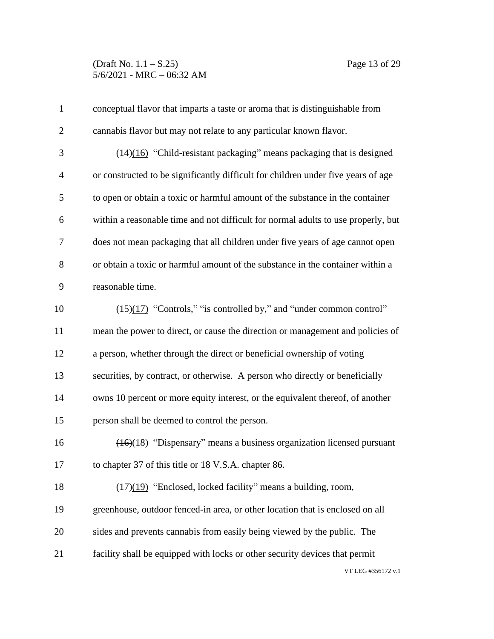(Draft No. 1.1 – S.25) Page 13 of 29 5/6/2021 - MRC – 06:32 AM

| $\mathbf{1}$   | conceptual flavor that imparts a taste or aroma that is distinguishable from      |
|----------------|-----------------------------------------------------------------------------------|
| $\overline{2}$ | cannabis flavor but may not relate to any particular known flavor.                |
| 3              | $(14)(16)$ "Child-resistant packaging" means packaging that is designed           |
| $\overline{4}$ | or constructed to be significantly difficult for children under five years of age |
| 5              | to open or obtain a toxic or harmful amount of the substance in the container     |
| 6              | within a reasonable time and not difficult for normal adults to use properly, but |
| 7              | does not mean packaging that all children under five years of age cannot open     |
| 8              | or obtain a toxic or harmful amount of the substance in the container within a    |
| 9              | reasonable time.                                                                  |
| 10             | (15)(17) "Controls," "is controlled by," and "under common control"               |
| 11             | mean the power to direct, or cause the direction or management and policies of    |
| 12             | a person, whether through the direct or beneficial ownership of voting            |
| 13             | securities, by contract, or otherwise. A person who directly or beneficially      |
| 14             | owns 10 percent or more equity interest, or the equivalent thereof, of another    |
| 15             | person shall be deemed to control the person.                                     |
| 16             | $(16)(18)$ "Dispensary" means a business organization licensed pursuant           |
| 17             | to chapter 37 of this title or 18 V.S.A. chapter 86.                              |
| 18             | $(17)(19)$ "Enclosed, locked facility" means a building, room,                    |
| 19             | greenhouse, outdoor fenced-in area, or other location that is enclosed on all     |
| 20             | sides and prevents cannabis from easily being viewed by the public. The           |
| 21             | facility shall be equipped with locks or other security devices that permit       |
|                | VT LEG #356172 v.1                                                                |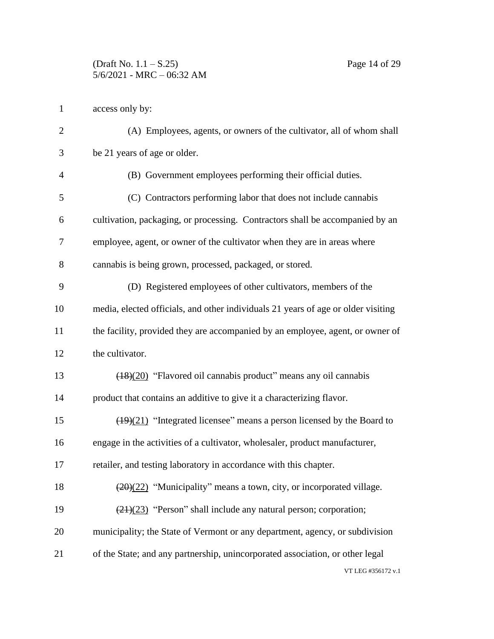access only by:

| $\overline{2}$ | (A) Employees, agents, or owners of the cultivator, all of whom shall                     |
|----------------|-------------------------------------------------------------------------------------------|
| 3              | be 21 years of age or older.                                                              |
| $\overline{4}$ | (B) Government employees performing their official duties.                                |
| 5              | (C) Contractors performing labor that does not include cannabis                           |
| 6              | cultivation, packaging, or processing. Contractors shall be accompanied by an             |
| 7              | employee, agent, or owner of the cultivator when they are in areas where                  |
| 8              | cannabis is being grown, processed, packaged, or stored.                                  |
| 9              | (D) Registered employees of other cultivators, members of the                             |
| 10             | media, elected officials, and other individuals 21 years of age or older visiting         |
| 11             | the facility, provided they are accompanied by an employee, agent, or owner of            |
| 12             | the cultivator.                                                                           |
| 13             | (18)(20) "Flavored oil cannabis product" means any oil cannabis                           |
| 14             | product that contains an additive to give it a characterizing flavor.                     |
| 15             | $\frac{(19)(21)}{(19)(21)}$ "Integrated licensee" means a person licensed by the Board to |
| 16             | engage in the activities of a cultivator, wholesaler, product manufacturer,               |
| 17             | retailer, and testing laboratory in accordance with this chapter.                         |
| 18             | $(20)(22)$ "Municipality" means a town, city, or incorporated village.                    |
| 19             | $\left(\frac{21}{23}\right)$ "Person" shall include any natural person; corporation;      |
| 20             | municipality; the State of Vermont or any department, agency, or subdivision              |
| 21             | of the State; and any partnership, unincorporated association, or other legal             |
|                | VT LEG #356172 v.1                                                                        |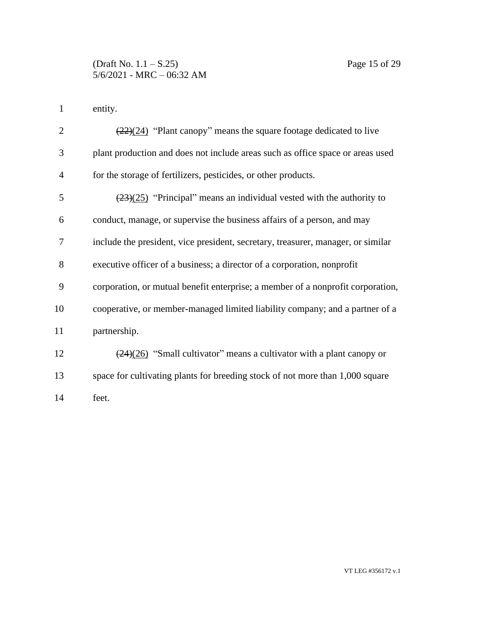entity.

| $\overline{2}$ | $\frac{(22)(24)}{2}$ "Plant canopy" means the square footage dedicated to live            |
|----------------|-------------------------------------------------------------------------------------------|
| 3              | plant production and does not include areas such as office space or areas used            |
| 4              | for the storage of fertilizers, pesticides, or other products.                            |
| 5              | $\left(\frac{23}{25}\right)$ "Principal" means an individual vested with the authority to |
| 6              | conduct, manage, or supervise the business affairs of a person, and may                   |
| 7              | include the president, vice president, secretary, treasurer, manager, or similar          |
| 8              | executive officer of a business; a director of a corporation, nonprofit                   |
| 9              | corporation, or mutual benefit enterprise; a member of a nonprofit corporation,           |
| 10             | cooperative, or member-managed limited liability company; and a partner of a              |
| 11             | partnership.                                                                              |
| 12             | $\left(\frac{24}{26}\right)$ "Small cultivator" means a cultivator with a plant canopy or |
| 13             | space for cultivating plants for breeding stock of not more than 1,000 square             |
| 14             | feet.                                                                                     |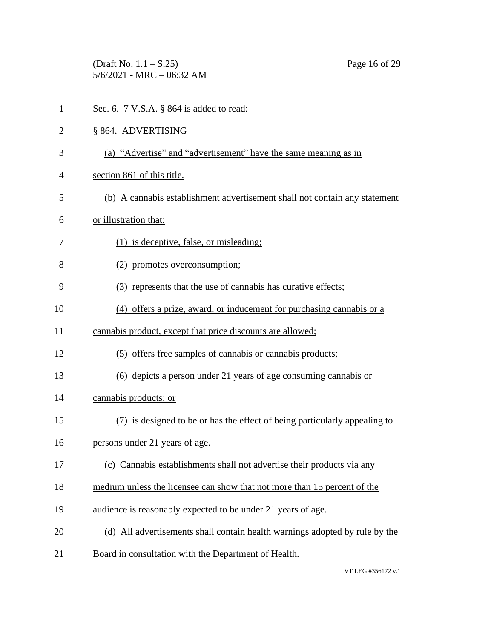(Draft No. 1.1 – S.25) Page 16 of 29 5/6/2021 - MRC – 06:32 AM

1 Sec. 6. 7 V.S.A. § 864 is added to read: § 864. ADVERTISING (a) "Advertise" and "advertisement" have the same meaning as in section 861 of this title. (b) A cannabis establishment advertisement shall not contain any statement or illustration that: (1) is deceptive, false, or misleading; (2) promotes overconsumption; (3) represents that the use of cannabis has curative effects; (4) offers a prize, award, or inducement for purchasing cannabis or a cannabis product, except that price discounts are allowed; (5) offers free samples of cannabis or cannabis products; (6) depicts a person under 21 years of age consuming cannabis or cannabis products; or (7) is designed to be or has the effect of being particularly appealing to persons under 21 years of age. (c) Cannabis establishments shall not advertise their products via any medium unless the licensee can show that not more than 15 percent of the audience is reasonably expected to be under 21 years of age. (d) All advertisements shall contain health warnings adopted by rule by the 21 Board in consultation with the Department of Health.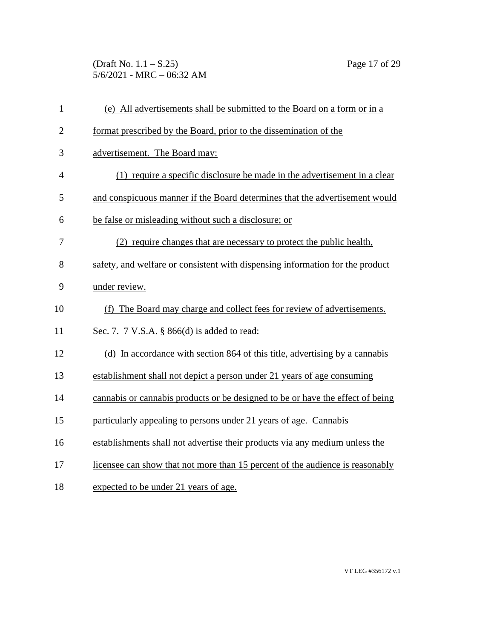(Draft No. 1.1 – S.25) Page 17 of 29 5/6/2021 - MRC – 06:32 AM

| $\mathbf{1}$   | (e) All advertisements shall be submitted to the Board on a form or in a       |
|----------------|--------------------------------------------------------------------------------|
| $\mathbf{2}$   | format prescribed by the Board, prior to the dissemination of the              |
| 3              | advertisement. The Board may:                                                  |
| $\overline{4}$ | (1) require a specific disclosure be made in the advertisement in a clear      |
| 5              | and conspicuous manner if the Board determines that the advertisement would    |
| 6              | be false or misleading without such a disclosure; or                           |
| 7              | (2) require changes that are necessary to protect the public health,           |
| 8              | safety, and welfare or consistent with dispensing information for the product  |
| 9              | under review.                                                                  |
| 10             | (f) The Board may charge and collect fees for review of advertisements.        |
| 11             | Sec. 7. 7 V.S.A. § 866(d) is added to read:                                    |
| 12             | (d) In accordance with section 864 of this title, advertising by a cannabis    |
| 13             | establishment shall not depict a person under 21 years of age consuming        |
| 14             | cannabis or cannabis products or be designed to be or have the effect of being |
| 15             | particularly appealing to persons under 21 years of age. Cannabis              |
| 16             | establishments shall not advertise their products via any medium unless the    |
| 17             | licensee can show that not more than 15 percent of the audience is reasonably  |
| 18             | expected to be under 21 years of age.                                          |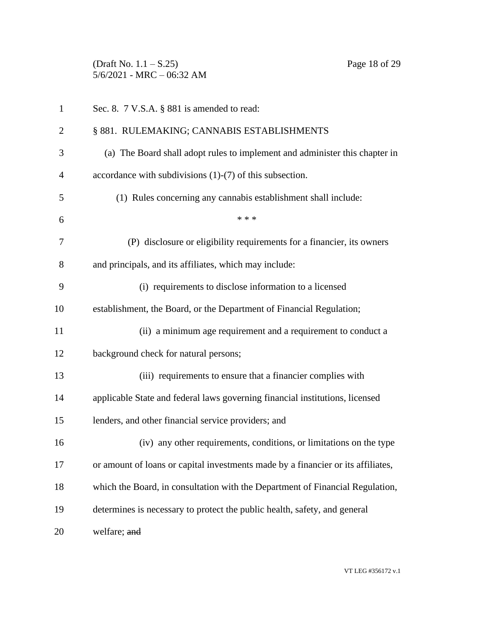(Draft No. 1.1 – S.25) Page 18 of 29 5/6/2021 - MRC – 06:32 AM

| $\mathbf{1}$   | Sec. 8. 7 V.S.A. § 881 is amended to read:                                       |
|----------------|----------------------------------------------------------------------------------|
| $\overline{2}$ | § 881. RULEMAKING; CANNABIS ESTABLISHMENTS                                       |
| 3              | (a) The Board shall adopt rules to implement and administer this chapter in      |
| $\overline{4}$ | accordance with subdivisions $(1)-(7)$ of this subsection.                       |
| 5              | (1) Rules concerning any cannabis establishment shall include:                   |
| 6              | * * *                                                                            |
| 7              | (P) disclosure or eligibility requirements for a financier, its owners           |
| 8              | and principals, and its affiliates, which may include:                           |
| 9              | (i) requirements to disclose information to a licensed                           |
| 10             | establishment, the Board, or the Department of Financial Regulation;             |
| 11             | (ii) a minimum age requirement and a requirement to conduct a                    |
| 12             | background check for natural persons;                                            |
| 13             | (iii) requirements to ensure that a financier complies with                      |
| 14             | applicable State and federal laws governing financial institutions, licensed     |
| 15             | lenders, and other financial service providers; and                              |
| 16             | (iv) any other requirements, conditions, or limitations on the type              |
| 17             | or amount of loans or capital investments made by a financier or its affiliates, |
| 18             | which the Board, in consultation with the Department of Financial Regulation,    |
| 19             | determines is necessary to protect the public health, safety, and general        |
| 20             | welfare; and                                                                     |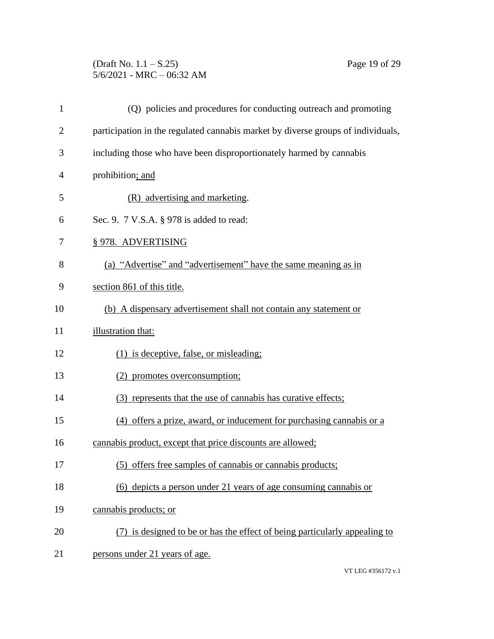## (Draft No. 1.1 – S.25) Page 19 of 29 5/6/2021 - MRC – 06:32 AM

| 1              | (Q) policies and procedures for conducting outreach and promoting                |
|----------------|----------------------------------------------------------------------------------|
| $\overline{2}$ | participation in the regulated cannabis market by diverse groups of individuals, |
| 3              | including those who have been disproportionately harmed by cannabis              |
| 4              | prohibition; and                                                                 |
| 5              | (R) advertising and marketing.                                                   |
| 6              | Sec. 9. 7 V.S.A. § 978 is added to read:                                         |
| 7              | § 978. ADVERTISING                                                               |
| 8              | (a) "Advertise" and "advertisement" have the same meaning as in                  |
| 9              | section 861 of this title.                                                       |
| 10             | (b) A dispensary advertisement shall not contain any statement or                |
| 11             | illustration that:                                                               |
| 12             | (1) is deceptive, false, or misleading;                                          |
| 13             | (2) promotes overconsumption;                                                    |
| 14             | (3) represents that the use of cannabis has curative effects;                    |
| 15             | (4) offers a prize, award, or inducement for purchasing cannabis or a            |
| 16             | cannabis product, except that price discounts are allowed;                       |
| 17             | (5) offers free samples of cannabis or cannabis products;                        |
| 18             | (6) depicts a person under 21 years of age consuming cannabis or                 |
| 19             | cannabis products; or                                                            |
| 20             | (7) is designed to be or has the effect of being particularly appealing to       |
| 21             | persons under 21 years of age.                                                   |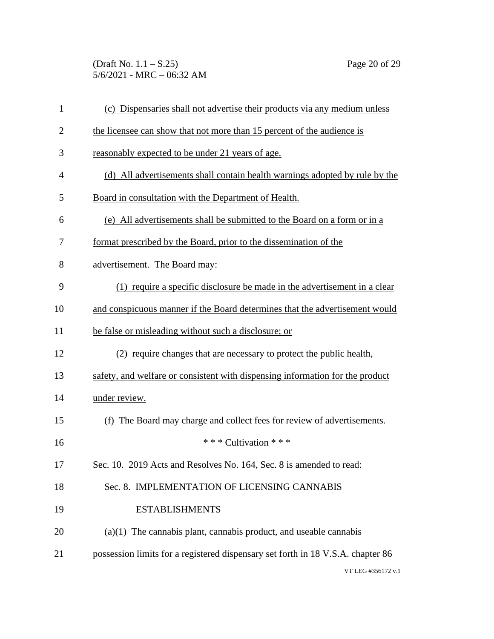(Draft No. 1.1 – S.25) Page 20 of 29 5/6/2021 - MRC – 06:32 AM

| $\mathbf{1}$   | (c) Dispensaries shall not advertise their products via any medium unless       |
|----------------|---------------------------------------------------------------------------------|
| $\overline{2}$ | the licensee can show that not more than 15 percent of the audience is          |
| 3              | reasonably expected to be under 21 years of age.                                |
| $\overline{4}$ | (d) All advertisements shall contain health warnings adopted by rule by the     |
| 5              | Board in consultation with the Department of Health.                            |
| 6              | (e) All advertisements shall be submitted to the Board on a form or in a        |
| 7              | format prescribed by the Board, prior to the dissemination of the               |
| 8              | advertisement. The Board may:                                                   |
| 9              | (1) require a specific disclosure be made in the advertisement in a clear       |
| 10             | and conspicuous manner if the Board determines that the advertisement would     |
| 11             | be false or misleading without such a disclosure; or                            |
| 12             | (2) require changes that are necessary to protect the public health,            |
| 13             | safety, and welfare or consistent with dispensing information for the product   |
| 14             | under review.                                                                   |
| 15             | The Board may charge and collect fees for review of advertisements.<br>(f)      |
| 16             | *** Cultivation ***                                                             |
| 17             | Sec. 10. 2019 Acts and Resolves No. 164, Sec. 8 is amended to read:             |
| 18             | Sec. 8. IMPLEMENTATION OF LICENSING CANNABIS                                    |
| 19             | <b>ESTABLISHMENTS</b>                                                           |
| 20             | $(a)(1)$ The cannabis plant, cannabis product, and useable cannabis             |
| 21             | possession limits for a registered dispensary set forth in 18 V.S.A. chapter 86 |
|                | VT LEG #356172 v.1                                                              |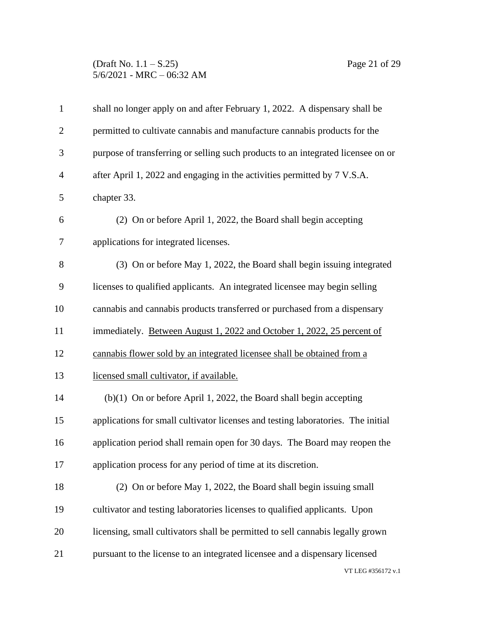## (Draft No. 1.1 – S.25) Page 21 of 29 5/6/2021 - MRC – 06:32 AM

| $\mathbf{1}$   | shall no longer apply on and after February 1, 2022. A dispensary shall be       |
|----------------|----------------------------------------------------------------------------------|
| $\overline{2}$ | permitted to cultivate cannabis and manufacture cannabis products for the        |
| 3              | purpose of transferring or selling such products to an integrated licensee on or |
| $\overline{4}$ | after April 1, 2022 and engaging in the activities permitted by 7 V.S.A.         |
| 5              | chapter 33.                                                                      |
| 6              | (2) On or before April 1, 2022, the Board shall begin accepting                  |
| $\tau$         | applications for integrated licenses.                                            |
| 8              | (3) On or before May 1, 2022, the Board shall begin issuing integrated           |
| 9              | licenses to qualified applicants. An integrated licensee may begin selling       |
| 10             | cannabis and cannabis products transferred or purchased from a dispensary        |
| 11             | immediately. Between August 1, 2022 and October 1, 2022, 25 percent of           |
| 12             | cannabis flower sold by an integrated licensee shall be obtained from a          |
| 13             | licensed small cultivator, if available.                                         |
| 14             | $(b)(1)$ On or before April 1, 2022, the Board shall begin accepting             |
| 15             | applications for small cultivator licenses and testing laboratories. The initial |
| 16             | application period shall remain open for 30 days. The Board may reopen the       |
| 17             | application process for any period of time at its discretion.                    |
| 18             | (2) On or before May 1, 2022, the Board shall begin issuing small                |
| 19             | cultivator and testing laboratories licenses to qualified applicants. Upon       |
| 20             | licensing, small cultivators shall be permitted to sell cannabis legally grown   |
| 21             | pursuant to the license to an integrated licensee and a dispensary licensed      |
|                | VT LEG #356172 v.1                                                               |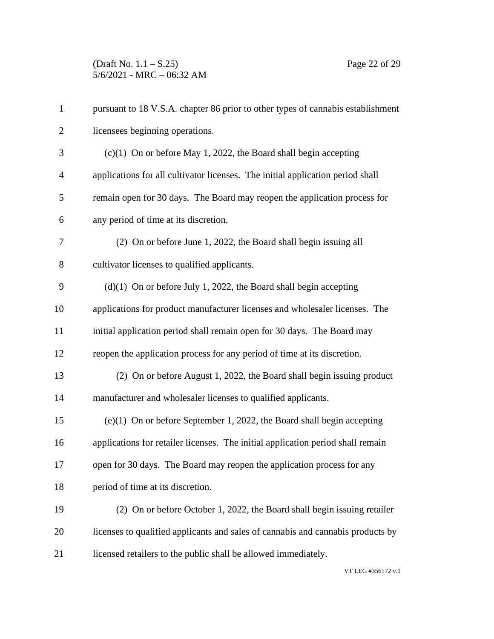| $\mathbf{1}$   | pursuant to 18 V.S.A. chapter 86 prior to other types of cannabis establishment |
|----------------|---------------------------------------------------------------------------------|
| $\overline{2}$ | licensees beginning operations.                                                 |
| 3              | $(c)(1)$ On or before May 1, 2022, the Board shall begin accepting              |
| $\overline{4}$ | applications for all cultivator licenses. The initial application period shall  |
| 5              | remain open for 30 days. The Board may reopen the application process for       |
| 6              | any period of time at its discretion.                                           |
| 7              | (2) On or before June 1, 2022, the Board shall begin issuing all                |
| 8              | cultivator licenses to qualified applicants.                                    |
| 9              | $(d)(1)$ On or before July 1, 2022, the Board shall begin accepting             |
| 10             | applications for product manufacturer licenses and wholesaler licenses. The     |
| 11             | initial application period shall remain open for 30 days. The Board may         |
| 12             | reopen the application process for any period of time at its discretion.        |
| 13             | (2) On or before August 1, 2022, the Board shall begin issuing product          |
| 14             | manufacturer and wholesaler licenses to qualified applicants.                   |
| 15             | $(e)(1)$ On or before September 1, 2022, the Board shall begin accepting        |
| 16             | applications for retailer licenses. The initial application period shall remain |
| 17             | open for 30 days. The Board may reopen the application process for any          |
| 18             | period of time at its discretion.                                               |
| 19             | (2) On or before October 1, 2022, the Board shall begin issuing retailer        |
| 20             | licenses to qualified applicants and sales of cannabis and cannabis products by |
| 21             | licensed retailers to the public shall be allowed immediately.                  |
|                |                                                                                 |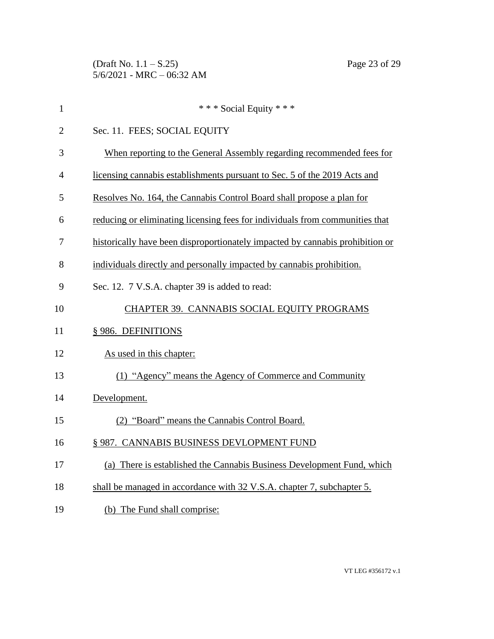(Draft No. 1.1 – S.25) Page 23 of 29 5/6/2021 - MRC – 06:32 AM

| $\mathbf{1}$   | *** Social Equity ***                                                         |
|----------------|-------------------------------------------------------------------------------|
| $\overline{2}$ | Sec. 11. FEES; SOCIAL EQUITY                                                  |
| 3              | When reporting to the General Assembly regarding recommended fees for         |
| $\overline{4}$ | licensing cannabis establishments pursuant to Sec. 5 of the 2019 Acts and     |
| 5              | Resolves No. 164, the Cannabis Control Board shall propose a plan for         |
| 6              | reducing or eliminating licensing fees for individuals from communities that  |
| 7              | historically have been disproportionately impacted by cannabis prohibition or |
| 8              | individuals directly and personally impacted by cannabis prohibition.         |
| 9              | Sec. 12. 7 V.S.A. chapter 39 is added to read:                                |
| 10             | CHAPTER 39. CANNABIS SOCIAL EQUITY PROGRAMS                                   |
| 11             | § 986. DEFINITIONS                                                            |
| 12             | As used in this chapter:                                                      |
| 13             | (1) "Agency" means the Agency of Commerce and Community                       |
| 14             | Development.                                                                  |
| 15             | (2) "Board" means the Cannabis Control Board.                                 |
| 16             | § 987. CANNABIS BUSINESS DEVLOPMENT FUND                                      |
| 17             | (a) There is established the Cannabis Business Development Fund, which        |
| 18             | shall be managed in accordance with 32 V.S.A. chapter 7, subchapter 5.        |
| 19             | (b) The Fund shall comprise:                                                  |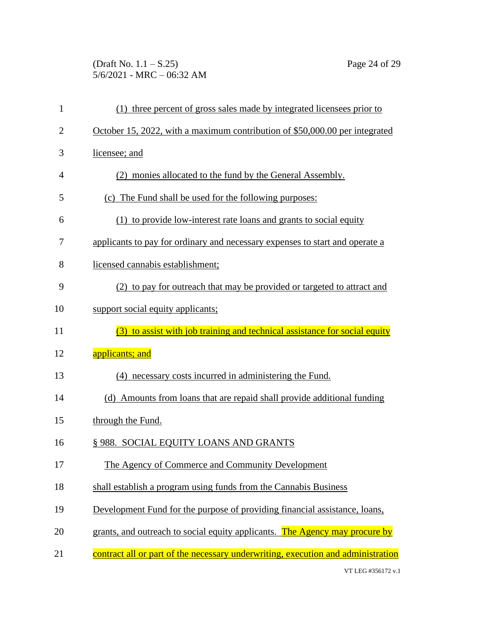(Draft No. 1.1 – S.25) Page 24 of 29 5/6/2021 - MRC – 06:32 AM

| 1              | (1) three percent of gross sales made by integrated licensees prior to           |
|----------------|----------------------------------------------------------------------------------|
| $\overline{2}$ | October 15, 2022, with a maximum contribution of \$50,000.00 per integrated      |
| 3              | licensee; and                                                                    |
| $\overline{4}$ | (2) monies allocated to the fund by the General Assembly.                        |
| 5              | (c) The Fund shall be used for the following purposes:                           |
| 6              | (1) to provide low-interest rate loans and grants to social equity               |
| 7              | applicants to pay for ordinary and necessary expenses to start and operate a     |
| 8              | licensed cannabis establishment;                                                 |
| 9              | (2) to pay for outreach that may be provided or targeted to attract and          |
| 10             | support social equity applicants;                                                |
| 11             | (3) to assist with job training and technical assistance for social equity       |
| 12             | applicants; and                                                                  |
| 13             | (4) necessary costs incurred in administering the Fund.                          |
| 14             | (d) Amounts from loans that are repaid shall provide additional funding          |
| 15             | through the Fund.                                                                |
| 16             | § 988. SOCIAL EQUITY LOANS AND GRANTS                                            |
| 17             | The Agency of Commerce and Community Development                                 |
| 18             | shall establish a program using funds from the Cannabis Business                 |
| 19             | Development Fund for the purpose of providing financial assistance, loans,       |
| 20             | grants, and outreach to social equity applicants. The Agency may procure by      |
| 21             | contract all or part of the necessary underwriting, execution and administration |
|                |                                                                                  |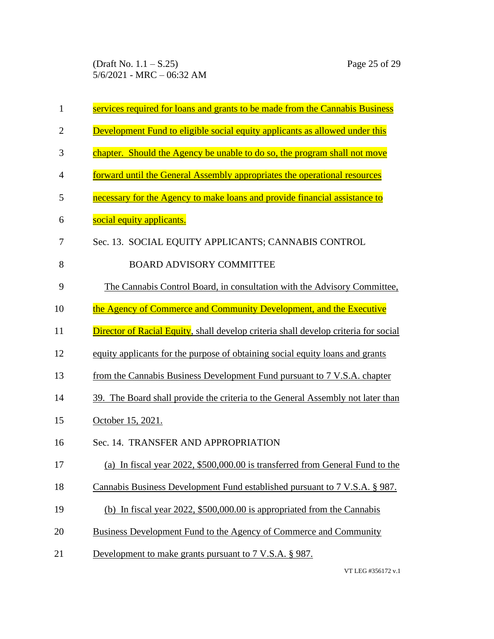(Draft No. 1.1 – S.25) Page 25 of 29 5/6/2021 - MRC – 06:32 AM

| $\mathbf{1}$   | services required for loans and grants to be made from the Cannabis Business               |
|----------------|--------------------------------------------------------------------------------------------|
| $\overline{2}$ | Development Fund to eligible social equity applicants as allowed under this                |
| 3              | chapter. Should the Agency be unable to do so, the program shall not move                  |
| $\overline{4}$ | forward until the General Assembly appropriates the operational resources                  |
| 5              | necessary for the Agency to make loans and provide financial assistance to                 |
| 6              | social equity applicants.                                                                  |
| 7              | Sec. 13. SOCIAL EQUITY APPLICANTS; CANNABIS CONTROL                                        |
| 8              | <b>BOARD ADVISORY COMMITTEE</b>                                                            |
| 9              | The Cannabis Control Board, in consultation with the Advisory Committee,                   |
| 10             | the Agency of Commerce and Community Development, and the Executive                        |
| 11             | <b>Director of Racial Equity, shall develop criteria shall develop criteria for social</b> |
| 12             | equity applicants for the purpose of obtaining social equity loans and grants              |
| 13             | from the Cannabis Business Development Fund pursuant to 7 V.S.A. chapter                   |
| 14             | 39. The Board shall provide the criteria to the General Assembly not later than            |
| 15             | <u>October 15, 2021.</u>                                                                   |
| 16             | Sec. 14. TRANSFER AND APPROPRIATION                                                        |
| 17             | (a) In fiscal year 2022, \$500,000.00 is transferred from General Fund to the              |
| 18             | Cannabis Business Development Fund established pursuant to 7 V.S.A. § 987.                 |
| 19             | (b) In fiscal year $2022$ , \$500,000.00 is appropriated from the Cannabis                 |
| 20             | <b>Business Development Fund to the Agency of Commerce and Community</b>                   |
| 21             | Development to make grants pursuant to 7 V.S.A. § 987.                                     |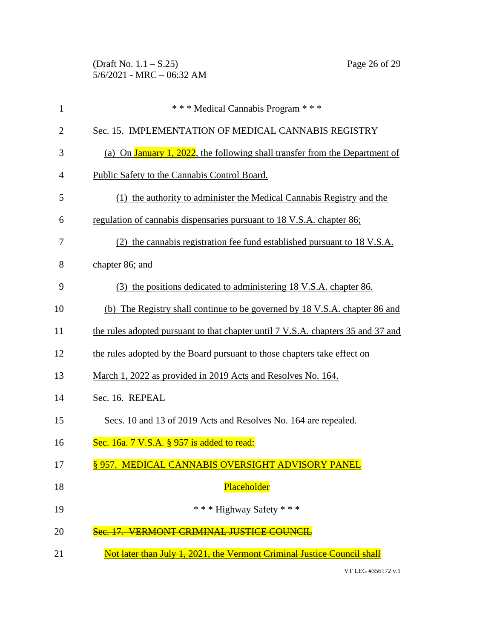(Draft No. 1.1 – S.25) Page 26 of 29 5/6/2021 - MRC – 06:32 AM

| $\mathbf{1}$   | *** Medical Cannabis Program ***                                                    |
|----------------|-------------------------------------------------------------------------------------|
| $\overline{2}$ | Sec. 15. IMPLEMENTATION OF MEDICAL CANNABIS REGISTRY                                |
| 3              | (a) On <b>January 1, 2022</b> , the following shall transfer from the Department of |
| $\overline{4}$ | Public Safety to the Cannabis Control Board.                                        |
| 5              | (1) the authority to administer the Medical Cannabis Registry and the               |
| 6              | regulation of cannabis dispensaries pursuant to 18 V.S.A. chapter 86;               |
| 7              | (2) the cannabis registration fee fund established pursuant to 18 V.S.A.            |
| 8              | chapter 86; and                                                                     |
| 9              | (3) the positions dedicated to administering 18 V.S.A. chapter 86.                  |
| 10             | (b) The Registry shall continue to be governed by 18 V.S.A. chapter 86 and          |
| 11             | the rules adopted pursuant to that chapter until 7 V.S.A. chapters 35 and 37 and    |
| 12             | the rules adopted by the Board pursuant to those chapters take effect on            |
| 13             | March 1, 2022 as provided in 2019 Acts and Resolves No. 164.                        |
| 14             | Sec. 16. REPEAL                                                                     |
| 15             | Secs. 10 and 13 of 2019 Acts and Resolves No. 164 are repealed.                     |
| 16             | Sec. 16a. 7 V.S.A. § 957 is added to read:                                          |
| 17             | § 957. MEDICAL CANNABIS OVERSIGHT ADVISORY PANEL                                    |
| 18             | Placeholder                                                                         |
| 19             | *** Highway Safety ***                                                              |
| 20             | <u> 17 VERMONT CRIMINAL HISTICE COUNCIL</u>                                         |
| 21             | Not later than July 1, 2021, the Vermont Criminal Justice Council shall             |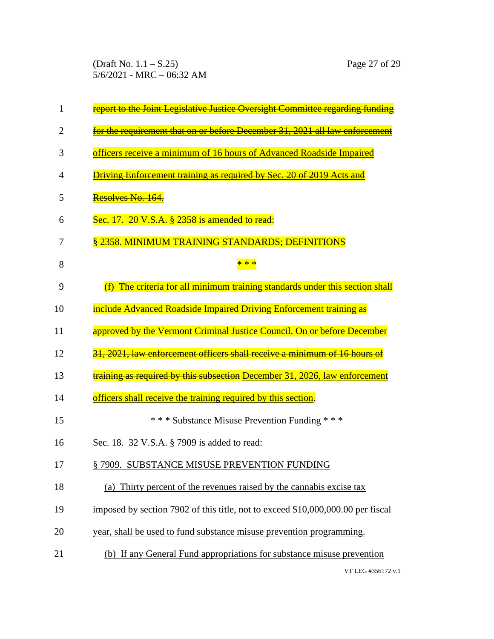(Draft No. 1.1 – S.25) Page 27 of 29 5/6/2021 - MRC – 06:32 AM

| 1  | report to the Joint Legislative Justice Oversight Committee regarding funding   |
|----|---------------------------------------------------------------------------------|
| 2  | for the requirement that on or before December 31, 2021 all law enforcement     |
| 3  | officers receive a minimum of 16 hours of Advanced Roadside Impaired            |
| 4  | <b>Driving Enforcement training as required by Sec. 20 of 2019 Acts and</b>     |
| 5  | Resolves No. 164.                                                               |
| 6  | Sec. 17. 20 V.S.A. § 2358 is amended to read:                                   |
| 7  | § 2358. MINIMUM TRAINING STANDARDS; DEFINITIONS                                 |
| 8  |                                                                                 |
| 9  | (f) The criteria for all minimum training standards under this section shall    |
| 10 | include Advanced Roadside Impaired Driving Enforcement training as              |
| 11 | approved by the Vermont Criminal Justice Council. On or before December         |
| 12 | 31, 2021, law enforcement officers shall receive a minimum of 16 hours of       |
| 13 | training as required by this subsection December 31, 2026, law enforcement      |
| 14 | officers shall receive the training required by this section.                   |
| 15 | *** Substance Misuse Prevention Funding ***                                     |
| 16 | Sec. 18. 32 V.S.A. § 7909 is added to read:                                     |
| 17 | § 7909. SUBSTANCE MISUSE PREVENTION FUNDING                                     |
| 18 | (a) Thirty percent of the revenues raised by the cannabis excise tax            |
| 19 | imposed by section 7902 of this title, not to exceed \$10,000,000.00 per fiscal |
| 20 | year, shall be used to fund substance misuse prevention programming.            |
| 21 | (b) If any General Fund appropriations for substance misuse prevention          |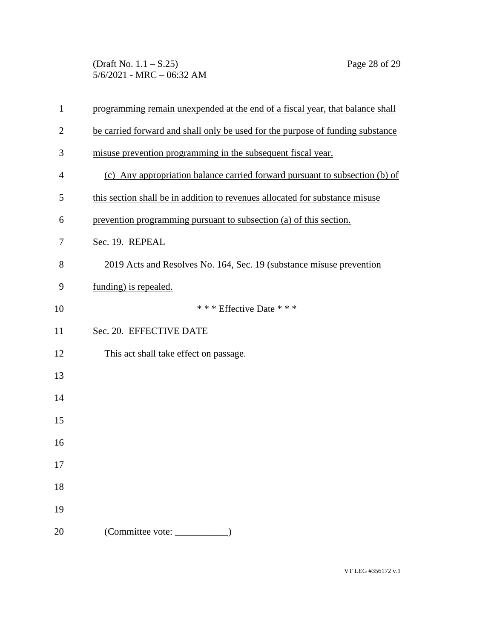(Draft No. 1.1 – S.25) Page 28 of 29 5/6/2021 - MRC – 06:32 AM

| $\mathbf{1}$   | programming remain unexpended at the end of a fiscal year, that balance shall  |
|----------------|--------------------------------------------------------------------------------|
| $\overline{2}$ | be carried forward and shall only be used for the purpose of funding substance |
| 3              | misuse prevention programming in the subsequent fiscal year.                   |
| $\overline{4}$ | (c) Any appropriation balance carried forward pursuant to subsection (b) of    |
| 5              | this section shall be in addition to revenues allocated for substance misuse   |
| 6              | prevention programming pursuant to subsection (a) of this section.             |
| 7              | Sec. 19. REPEAL                                                                |
| 8              | 2019 Acts and Resolves No. 164, Sec. 19 (substance misuse prevention           |
| 9              | funding) is repealed.                                                          |
| 10             | *** Effective Date ***                                                         |
| 11             | Sec. 20. EFFECTIVE DATE                                                        |
| 12             | This act shall take effect on passage.                                         |
| 13             |                                                                                |
| 14             |                                                                                |
| 15             |                                                                                |
| 16             |                                                                                |
| 17             |                                                                                |
| 18             |                                                                                |
| 19             |                                                                                |
| 20             | (Committee vote: ______                                                        |